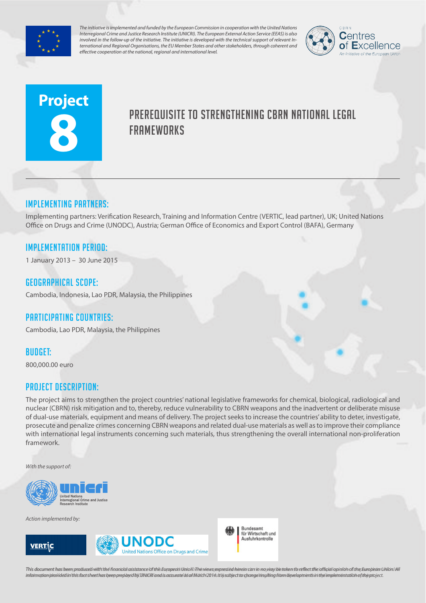

*The initiative is implemented and funded by the European Commission in cooperation with the United Nations Interregional Crime and Justice Research Institute (UNICRI). The European External Action Service (EEAS) is also involved in the follow-up of the initiative. The initiative is developed with the technical support of relevant International and Regional Organisations, the EU Member States and other stakeholders, through coherent and effective cooperation at the national, regional and international level.*



# **Project 8**

# PREREQUISITE TO STRENGTHENING CBRN NATIONAL LEGAL **FRAMEWORKS**

## Implementing partners:

Implementing partners: Verification Research, Training and Information Centre (VERTIC, lead partner), UK; United Nations Office on Drugs and Crime (UNODC), Austria; German Office of Economics and Export Control (BAFA), Germany

## Implementation Period:

1 January 2013 – 30 June 2015

#### Geographical scope:

Cambodia, Indonesia, Lao PDR, Malaysia, the Philippines

#### Participating countries:

Cambodia, Lao PDR, Malaysia, the Philippines

#### Budget:

800,000.00 euro

#### Project Description:

The project aims to strengthen the project countries' national legislative frameworks for chemical, biological, radiological and nuclear (CBRN) risk mitigation and to, thereby, reduce vulnerability to CBRN weapons and the inadvertent or deliberate misuse of dual-use materials, equipment and means of delivery. The project seeks to increase the countries' ability to deter, investigate, prosecute and penalize crimes concerning CBRN weapons and related dual-use materials as well as to improve their compliance with international legal instruments concerning such materials, thus strengthening the overall international non-proliferation framework.

*With the support of:*



*Action implemented by:*







This document has been produced with the financial assistance of the European Union. The views expressed herein can in no way be taken to reflect the official opinion of the European Union/All information provided in this fact sheet has been prepared by UNICRI and is accurate as of March 2014s It lissubject to change resulting from developments in the implementation of the project.